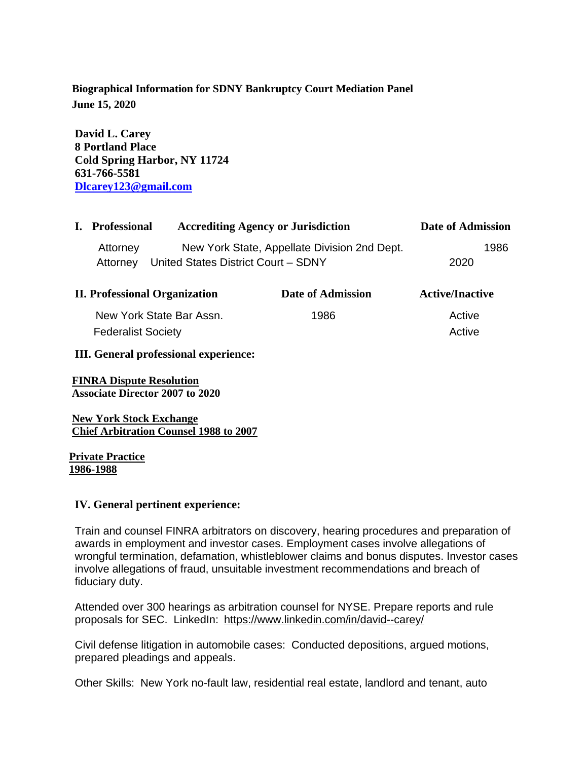# **Biographical Information for SDNY Bankruptcy Court Mediation Panel June 15, 2020**

**David L. Carey 8 Portland Place Cold Spring Harbor, NY 11724 631-766-5581 [Dlcarey123@gmail.com](mailto:Dlcarey123@gmail.com)**

| I. Professional | <b>Accrediting Agency or Jurisdiction</b>    | Date of Admission |      |
|-----------------|----------------------------------------------|-------------------|------|
| Attorney        | New York State, Appellate Division 2nd Dept. |                   | 1986 |
| Attornev        | United States District Court - SDNY          | 2020              |      |

| <b>II. Professional Organization</b> | Date of Admission | <b>Active/Inactive</b> |
|--------------------------------------|-------------------|------------------------|
| New York State Bar Assn.             | 1986              | Active                 |
| <b>Federalist Society</b>            |                   | Active                 |

#### **III. General professional experience:**

**FINRA Dispute Resolution Associate Director 2007 to 2020** 

**New York Stock Exchange Chief Arbitration Counsel 1988 to 2007**

**Private Practice 1986-1988**

#### **IV. General pertinent experience:**

Train and counsel FINRA arbitrators on discovery, hearing procedures and preparation of awards in employment and investor cases. Employment cases involve allegations of wrongful termination, defamation, whistleblower claims and bonus disputes. Investor cases involve allegations of fraud, unsuitable investment recommendations and breach of fiduciary duty.

Attended over 300 hearings as arbitration counsel for NYSE. Prepare reports and rule proposals for SEC. LinkedIn: <https://www.linkedin.com/in/david--carey/>

Civil defense litigation in automobile cases: Conducted depositions, argued motions, prepared pleadings and appeals.

Other Skills: New York no-fault law, residential real estate, landlord and tenant, auto